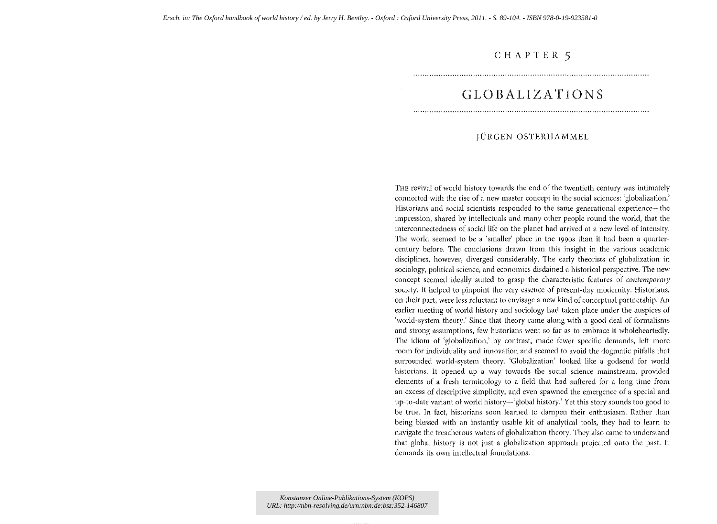## CHAPTER 5

## GLOBALIZATIONS

#### )URGEN OSTERHAMMEL

THE revival of world history towards the end of the twentieth century was intimately connected with the rise of a new master concept in the social sciences: 'globalization.' Historians and social scientists responded to the same generational experience—the impression, shared by intellectuals and many other people round the world, that the interconnectedness of social life on the planet had arrived at a new level of intensity. The world seemed to be a 'smaller' place in the 1990s than it had been a quartercentury before. The conclusions drawn from this insight in the various academic disciplines, however, diverged considerably. The early theorists of globalization in sociology, political science, and economics disdained a historical perspective. The new concept seemed ideally suited to grasp the characteristic features of *contemporary*  society. It helped to pinpoint the very essence of present-day modernity. Historians, on their part, were less reluctant to envisage a new kind of conceptual partnership. An earlier meeting of world history and sociology had taken place under the auspices of 'world-system theory.' Since that theory came along with a good deal of formalisms and strong assumptions, few historians went so far as to embrace it wholeheartedly. The idiom of 'globalization,' by contrast, made fewer specific demands, left more room for individuality and innovation and seemed to avoid the dogmatic pitfalls that surrounded world-system theory. 'Globalization' looked like a godsend for world historians. It opened up a way towards the social science mainstream, provided elements of a fresh terminology to a field that had suffered for a long time from an excess of descriptive simplicity, and even spawned the emergence of a special and up-to-date variant of world history-'global history.' Yet this story sounds too good to be true. In fact, historians soon learned to dampen their enthusiasm. Rather than being blessed with an instantly usable kit of analytical tools, they had to learn to navigate the treacherous waters of globalization theory. They also came to understand that global history is not just a globalization approach projected onto the past. It demands its own intellectual foundations.

*Konstanzer Online-Publikations-System (KOPS) [URL: http://nbn-resolving.de/urn:nbn:de:bsz:352-146807](http://nbn-resolving.de/urn:nbn:de:bsz:352-146807)*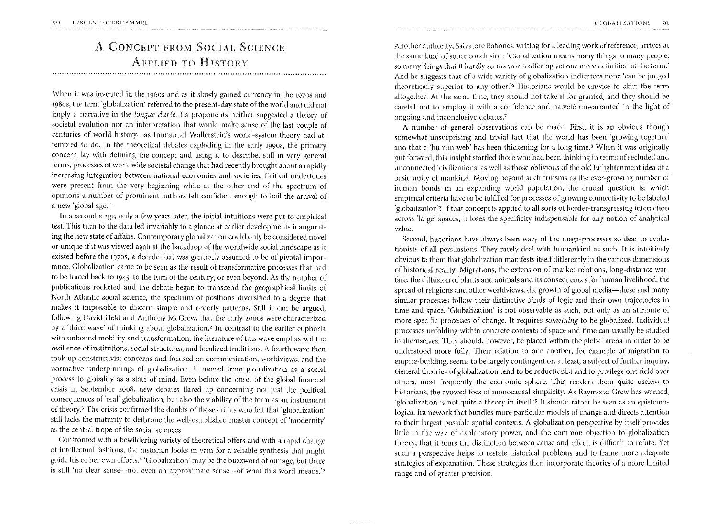## A CONCEPT FROM SOCIAL SCIENCE **APPLIED TO HISTORY**

When it was invented in the 1960s and as it slowly gained currency in the 1970s and 1980s, the term 'globalization' referred to the present-day state of the world and did not imply a narrative in the *longue durée*. Its proponents neither suggested a theory of societal evolution nor an interpretation that would make sense of the last couple of centuries of world history—as Immanuel Wallerstein's world-system theory had attempted to do. In the theoretical debates exploding in the early 1990s, the primary concern lay with defining the concept and using it to describe, still in very general terms, processes of worldwide societal change that had recently brought about a rapidly increasing integration between national economies and societies. Critical undertones were present from the very beginning while at the other end of the spectrum of opinions a number of prominent authors felt confident enough to hail the arrival of a new 'global age.'<sup>1</sup>

In a second stage, only a few years later, the initial intuitions were put to empirical test. This turn to the data led invariably to a glance at earlier developments inaugurating the new state of affairs. Contemporary globalization could only be considered novel or unique if it was viewed against the backdrop of the worldwide social landscape as it existed before the 1970s, a decade that was generally assumed to be of pivotal importance. Globalization came to be seen as the result of transformative processes that had to be traced back to 1945, to the turn of the century, or even beyond. As the number of publications rocketed and the debate began to transcend the geographical limits of North Atlantic social science, the spectrum of positions diversified to a degree that makes it impossible to discern simple and orderly patterns. Still it can be argued, following David Held and Anthony McGrew, that the early 2000s were characterized by a 'third wave' of thinking about globalization.<sup>2</sup> In contrast to the earlier euphoria with unbound mobility and transformation, the literature of this wave emphasized the resilience of institutions, social structures, and localized traditions. A fourth wave then took up constructivist concerns and focused on communication, worldviews, and the normative underpinnings of globalization. It moved from globalization as a social process to globality as a state of mind. Even before the onset of the global financial crisis in September 2008, new debates flared up concerning not just the political consequences of 'real' globalization, but also the viability of the term as an instrument of theory.<sup>3</sup> The crisis confirmed the doubts of those critics who felt that 'globalization' still lacks the maturity to dethrone the well-established master concept of 'modernity' as the central trope of the social sciences.

Confronted with a bewildering variety of theoretical offers and with a rapid change of intellectual fashions, the historian looks in vain for a reliable synthesis that might guide his or her own efforts.<sup>4</sup> 'Globalization' may be the buzzword of our age, but there is still 'no clear sense—not even an approximate sense—of what this word means.' Another authority, Salvatore Babones, writing for a leading work of reference, arrives at the same kind of sober conclusion: 'Globalization means many things to many people, so many things that it hardly seems worth offering yet one more definition of the term.' And he suggests that of a wide variety of globalization indicators none 'can be judged theoretically superior to any other.'<sup>6</sup> Historians would be unwise to skirt the term altogether. At the same time, they should not take it for granted, and they should be careful not to employ it with a confidence and naiveté unwarranted in the light of ongoing and inconclusive debates.<sup>7</sup>

A number of general observations can be made. First, it is an obvious though somewhat unsurprising and trivial fact that the world has been 'growing together' and that a 'human web' has been thickening for a long time.<sup>8</sup> When it was originally put forward, this insight startled those who had been thinking in terms of secluded and unconnected 'civilizations' as well as those oblivious of the old Enlightenment idea of a basic unity of mankind. Moving beyond such truisms as the ever-growing number of human bonds in an expanding world population, the crucial question is: which empirical criteria have to be fulfilled for processes of growing connectivity to be labeled 'globalization'? If that concept is applied to all sorts of border-transgressing interaction across 'large' spaces, it loses the specificity indispensable for any notion of analytical value.

Second, historians have always been wary of the mega-processes so dear to evolutionists of all persuasions. They rarely deal with humankind as such. It is intuitively obvious to them that globalization manifests itself differently in the various dimensions of historical reality. Migrations, the extension of market relations, long-distance warfare, the diffusion of plants and animals and its consequences for human livelihood, the spread of religions and other worldviews, the growth of global media—these and many similar processes follow their distinctive kinds of logic and their own trajectories in time and space. 'Globalization' is not observable as such, but only as an attribute of more specific processes of change. It requires *something* to be globalized. Individual processes unfolding within concrete contexts of space and time can usually be studied in themselves. They should, however, be placed within the global arena in order to be understood more fully. Their relation to one another, for example of migration to empire-building, seems to be largely contingent or, at least, a subject of further inquiry. General theories of globalization tend to be reductionist and to privilege one field over others, most frequently the economic sphere. This renders them quite useless to historians, the avowed foes of monocausal simplicity. As Raymond Grew has warned, 'globalization is not quite a theory in itself.'<sup>9</sup> It should rather be seen as an epistemological framework that bundles more particular models of change and directs attention to their largest possible spatial contexts. A globalization perspective by itself provides little in the way of explanatory power, and the common objection to globalization theory, that it blurs the distinction between cause and effect, is difficult to refute. Yet such a perspective helps to restate historical problems and to frame more adequate strategies of explanation. These strategies then incorporate theories of a more limited range and of greater precision.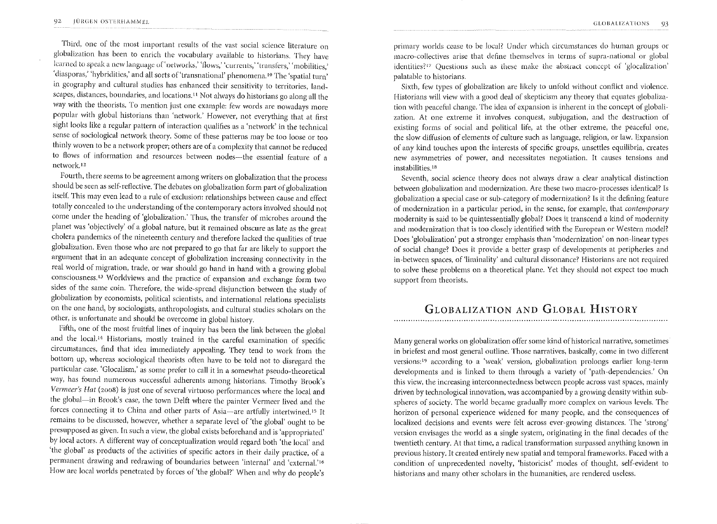Third, one of the most important results of the vast social science literature on globalization has been to enrich the vocabulary available to historians. They have learned to speak a new language of 'networks,' 'flows,' 'currents,' 'transfers,' 'mobilities,' 'diasporas,' 'hybriditics,' and all sorts of'transnalional' phenomena. 10 The 'spatial turn' in geography and cultural studies has enhanced their sensitivity to territories, landscapes, distances, boundaries, and locations. 11 Not always do historians go along all the way with the theorists. To mention just one example: few words are nowadays more popular with global historians than 'network.' However, not everything that at first sight looks like a regular pattern of interaction qualifies as a 'network' in the technical sense of sociological network theory. Some of these patterns may be too loose or too thinly woven to be a network proper; others arc of a complexity that cannot be reduced to flows of information and resources between nodes~-the essential feature of a network.<sup>12</sup>

Fourth, there seems to be agreement among writers on globalization that the process should be seen as self-reflective. The debates on globalization form part of globalization itself. This may even lead to a rule of exclusion: relationships between cause and effect totally concealed to the understanding of the contemporary actors involved should not come under the heading of 'globalization.' Thus, the transfer of microbes around the planet was 'objectively' of a global nature, but it remained obscure as late as the great cholera pandemics of the nineteenth century and therefore lacked the qualities of true globalization. Even those who are not prepared to go that far are likely to support the argument that in an adequate concept of globalization increasing connectivity in the real world of migration, trade, or war should go hand in hand with a growing global consciousness. 13 Worldviews and the practice of expansion and exchange form two sides of the same coin. Therefore, the wide-spread disjunction between the study of globalization by economists, political scientists, and international relations specialists on the one hand, by sociologists, anthropologists, and cultural studies scholars on the other, is unfortunate and should be overcome in global history.

Fifth, one of the most fruitful lines of inquiry has been the link between the global and the local.<sup>14</sup> Historians, mostly trained in the careful examination of specific circumstances, find that idea immediately appealing. They tend to work from the bottom up, whereas sociological theorists often have to be told not to disregard the particular case. 'Glocalism,' as some prefer to call it in a somewhat pseudo-theoretical way, has found numerous successful adherents among historians. Timothy Brook's *Venneer's Hat* (2oo8) is just one of several virtuoso performances where the local and the global-in Brook's case, the town Delft where the painter Vermeer lived and the forces connecting it to China and other parts of Asia-are artfully intertwined.<sup>15</sup> It remains to be discussed, however, whether a separate level of 'the global' ought to be presupposed as given. In such a view, the global exists beforehand and is 'appropriated' by local actors. A different way of conceptualization would regard both 'the local' and 'the global' as products of the activities of specific actors in their daily practice, of a permanent drawing and redrawing of boundaries between 'internal' and 'external.'<sup>16</sup> How are local worlds penetrated by forces of 'the global?' When and why do people's

primary worlds cease to be local? Under which circumstances do human groups or macro--collectives arise that deftne themselves in terms of supra-national or global identities?<sup>17</sup> Questions such as these make the abstract concept of 'glocalization' palatable to historians.

Sixth, few types of globalization are likely to unfold without conflict and violence. Historians will view with a good deal of skepticism any theory that equates globalization with peaceful change. The idea of expansion is inherent in the concept of globali~ zation. At one extreme it involves conquest, subjugation, and the destruction of existing forms of social and political life, at the other extreme, the peaceful one, the slow diffusion of clements of culture such as language, religion, or law. Expansion of any kind touches upon the interests of specific groups, unsettles equilibria, creates new asymmetries of power, and necessitates negotiation. It causes tensions and instabilities. <sup>18</sup>

Seventh, social science theory does not always draw a dear analytical distinction between globalization and modernization. Are these two macro-processes identical? Is globalization a special case or sub~category of modernization? Is it the defining feature of modernization in a particular period, in the sense, for example, that *contemporary* modernity is said to be quintessentially global? Does it transcend a kind of modernity and modernization that is too closely identified with the European or Western model? Does 'globalization' put a stronger emphasis than 'modernization' on non--linear types of social change? Does it provide a better grasp of developments at peripheries and in-between spaces, of 'liminality' and cultural dissonance? Historians are not required to solve these problems on a theoretical plane. Yet they should not expect too much support from theorists.

### GLOBALIZATION AND GLOBAL HISTORY

Many general works on globalization offer some kind of historical narrative, sometimes in briefest and most general outline. Those narratives, basically, come in two different versions: 19 according to a 'weak' version, globalization prolongs earlier long-term developments and is linked to them through a variety of 'path-dependencies.' On this view, the increasing interconnectedness between people across vast spaces, mainly driven by technological innovation, was accompanied by a growing density within sub~ spheres of society. The world became gradually more complex on various levels. The horizon of personal experience widened for many people, and the consequences of localized decisions and events were felt across ever-growing distances. The 'strong' version envisages the world as a single system, originating in the final decades of the twentieth century. At that time, a radical transformation surpassed anything known in previous history. It created entirely new spatial and temporal frameworks. Faced with a condition of unprecedented novelty, 'historicist' modes of thought, self-evident to historians and many other scholars in the humanities, are rendered useless.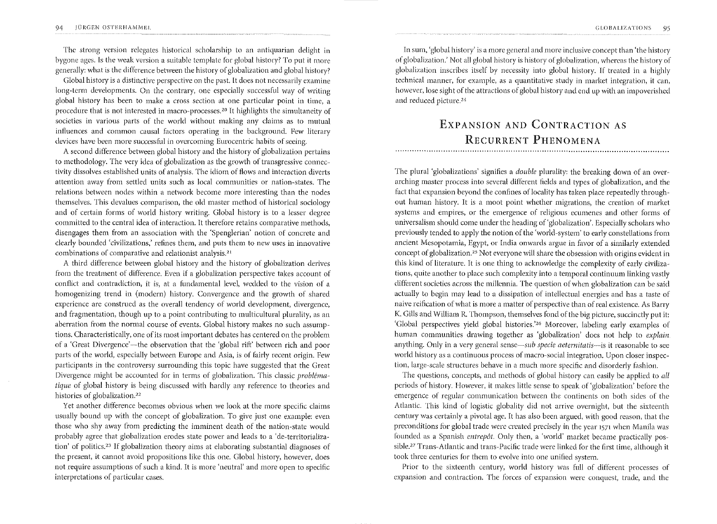The strong version relegates historical scholarship to an antiquarian delight in bygone ages. Is the weak version a suitable template for global history? To put it more generally: what is the difference between the history of globalization and global history?

Global history is a distinctive perspective on the past. It does not necessarily examine long-term developments. On the contrary, one especially successful way of writing global history has been to make a cross section at one particular point in time, a procedure that is not interested in macro-processes. <sup>20</sup>It highlights the simultaneity of societies in various parts of the world without making any claims as to mutual influences and common causal factors operating in the background. Few literary devices have been more successful in overcoming Eurocentric habits of seeing.

A second difference between global history and the history of globalization pertains to methodology. The very idea of globalization as the growth of transgressive connectivity dissolves established units of analysis. The idiom of flows and interaction diverts attention away from settled units such as local communities or nation-states. The relations between nodes within a network become more interesting than the nodes themselves. This devalues comparison, the old master method of historical sociology and of certain forms of world history writing. Global history is to a lesser degree committed to the central idea of interaction. It therefore retains comparative methods, disengages them from an association with the 'Spenglerian' notion of concrete and clearly bounded <civilizations,' refines them, and puts them to new uses in innovative combinations of comparative and relationist analysis. <sup>21</sup>

A third difference between global history and the history of globalization derives from the treatment of difference. Even if a globalization perspective takes account of conflict and contradiction, it is, at a fundamental level, wedded to the vision of a homogenizing trend in (modern) history. Convergence and the growth of shared experience are construed as the overall tendency of world development, divergence, and fragmentation, though up to a point contributing to multicultural plurality, as an aberration from the normal course of events. Global history makes no such assumptions. Characteristically, one of its most important debates has centered on the problem of a 'Great Divergence' -the observation that the 'global rift' between rich and poor parts of the world, especially between Europe and Asia, is of fairly recent origin. Few participants in the controversy surrounding this topic have suggested that the Great Divergence might be accounted for in terms of globalization. This classic *problematique* of global history is being discussed with hardly any reference to theories and histories of globalization. *<sup>22</sup>*

Yet another difference becomes obvious when we look at the more specific claims usually bound up with the concept of globalization. To give just one example: even those who shy away from predicting the imminent death of the nation-state would probably agree that globalization erodes state power and leads to a 'de-territorialization' of politics.23 If globalization theory aims at elaborating substantial diagnoses of the present, it cannot avoid propositions like this one. Global history, however, docs not require assumptions of such a kind. It is more 'neutral' and more open to specific interpretations of particular cases.

In sum, 'global history' is a more general and more inclusive concept than 'the history' of globalization.' Not all global history is history of globalization, whereas the history of globalization inscribes itself by necessity into global history. If treated in a highly technical manner, for example, as a quantitative study in market integration, it can, however, lose sight of the attractions of global history and end up with an impoverished and reduced picture.<sup>24</sup>

## ExPANSION AND CoNTRACTION As RECURRENT PHENOMENA

The plural 'globalizations' signifies a *double* plurality: the breaking down of an overarching master process into several different fields and types of globalization, and the fact that expansion beyond the confines of locality has taken place repeatedly throughout human history. It is a moot point whether migrations, the creation of market systems and empires, or the emergence of religious ecumenes and other forms of universalism should come under the heading of'globalization'. Especially scholars who previously tended to apply the notion of the 'world-system' to early constellations from ancient Mesopotamia, Egypt, or India onwards argue in favor of a similarly extended concept of globalization. 25 Not everyone will share the obsession with origins evident in this kind of literature. It is one thing to acknowledge the complexity of early civilizations, quite another to place such complexity into a temporal continuum linking vastly different societies across the millennia. The question of when globalization can be said actually to begin may lead to a dissipation of intellectual energies and has a taste of naive reifi.cation of what is more a matter of perspective than of real existence. *As* Barry K. Gills and William R. Thompson, themselves fond of the big picture, succinctly put it: 'Global perspectives yield global histories.'26 Moreover, labeling early examples of human communities drawing together as 'globalization' does not help to *explain*  anything. Only in a very general *sense-sub specie aeternitatis-is* it reasonable to see world history as a continuous process of macro-social integration. Upon closer inspec lion, large-scale structures behave in a much more specific and disorderly fashion.

The questions, concepts, and methods of global history can easily be applied to *all*  periods of history. However, it makes little sense to speak of 'globalization' before the emergence of regular communication between the continents on both sides of the Atlantic. This kind of logistic globality did not arrive overnight, but the sixteenth century was certainly a pivotal age. It has also been argued, with good reason, that the preconditions for global trade were created precisely in the year 1571 when Manila was founded as a Spanish *entrepdt.* Only then, a 'world' market became practically possible.27 Trans-Atlantic and trans-Pacific trade were linked for the first time, although it took three centuries for them to evolve into one unified system.

Prior to the sixteenth century, world history was full of different processes of expansion and contraction. The forces of expansion were conquest, trade, and the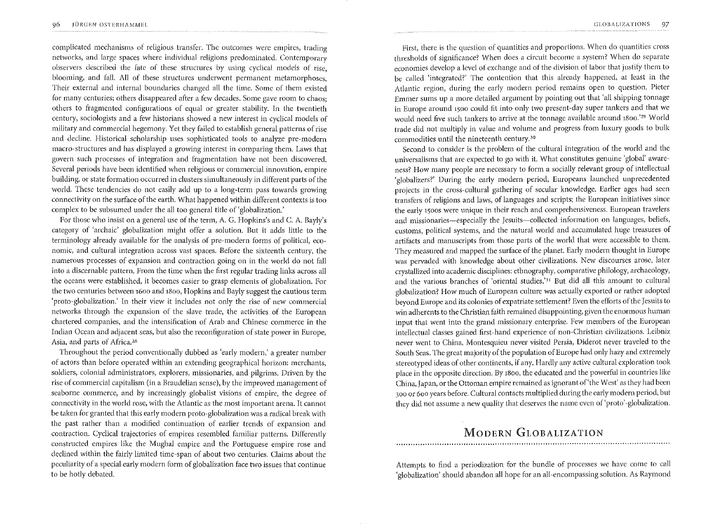complicated mechanisms of religious transfer. The outcomes were empires, trading networks, and large spaces where individual religions predominated. Contemporary observers described the fate of these structures by using cyclical models of rise, blooming, and fall. All of these structures underwent permanent metamorphoses. Their external and internal boundaries changed all the time. Some of them existed for many centuries; others disappeared after a few decades. Some gave room to chaos; others to fragmented configurations of equal or greater stability. In the twentieth century, sociologists and a few historians showed a new interest in cyclical models of military and commercial hegemony. Yet they failed to establish general patterns of rise and decline. Historical scholarship uses sophisticated tools to analyze pre-modern macro-structures and has displayed a growing interest in comparing them. Laws that govern such processes of integration and fragmentation have not been discovered. Several periods have been identified when religious or commercial innovation, empire building, or state formation occurred in clusters simultaneously in different parts of the world. These tendencies do not easily add up to a long-term pass towards growing connectivity on the surface of the earth. What happened within different contexts is too complex to be subsumed under the all too general title of 'globalization.'

For those who insist on a general use of the term, A. G. Hopkins's and C. A. Bayly's category of 'archaic' globalization might offer a solution. But it adds little to the terminology already available for the analysis of pre-modern forms of political, economic, and cultural integration across vast spaces. Before the sixteenth century, the numerous processes of expansion and contraction going on in the world do not fall into a discernable pattern. From the time when the first regular trading links across all the oceans were established, it becomes easier to grasp elements of globalization. For the two centuries between 1600 and 18oo, Hopkins and Bayly suggest the cautious term 'proto-globalization.' In their view it includes not only the rise of new commercial networks through the expansion of the slave trade, the activities of the European chartered companies, and the intensification of Arab and Chinese commerce in the Indian Ocean and adjacent seas, but also the reconfiguration of state power in Europe, Asia, and parts of Africa.2s

Throughout the period conventionally dubbed as 'early modern,' a greater number of actors than before operated within an extending geographical horizon: merchants, soldiers, colonial administrators, explorers, missionaries, and pilgrims. Driven by the rise of commercial capitalism (in a Braudelian sense), by the improved management of seaborne commerce, and by increasingly globalist visions of empire, the degree of connectivity in the world rose, with the Atlantic as the most important arena. It cannot be taken for granted that this early modern proto-globalization was a radical break with the past rather than a modified continuation of earlier trends of expansion and contraction. Cyclical trajectories of empires resembled familiar patterns. Differently constructed empires like the Mughal empire and the Portuguese empire rose and declined within the fairly limited time-span of about two centuries. Claims about the peculiarity of a special early modern form of globalization face two issues that continue to be hotly debated.

First, there is the question of quantities and proportions. When do quantities cross thresholds of significance? When does a circuit become a system? When do separate economies develop a level of exchange and of the division of labor that justify them to be called 'integrated?' The contention that this already happened, at least in the Atlantic region, during the early modern period remains open to question. Pieter Emmer sums up a more detailed argument by pointing out that 'all shipping tonnage in Europe around 1500 could fit into only two present-day super tankers and that we would need five such tankers to arrive at the tonnage available around 1800.<sup>229</sup> World trade did not multiply in value and volume and progress from luxury goods to bulk commodities until the nineteenth century.<sup>30</sup>

Second to consider is the problem of the cultural integration of the world and the universalisms that are expected to go with it. What constitutes genuine 'global' awareness? How many people are necessary to form a socially relevant group of intellectual 'globalizers?' During the early modern period, Europeans launched unprecedented projects in the cross-cultural gathering of secular knowledge. Earlier ages had seen transfers of religions and laws, of languages and scripts; the European initiatives since the early 1500s were unique in their reach and comprehensiveness. European travelers and missionaries-especially the Jesuits-collected information on languages, beliefs, customs, political systems, and the natural world and accumulated huge treasures of artifacts and manuscripts from those parts of the world that were accessible to them. They measured and mapped the surface of the planet. Early modern thought in Europe was pervaded with knowledge about other civilizations. New discourses arose, later crystallized into academic disciplines: ethnography, comparative philology, archaeology, and the various branches of 'oriental studies.'31 But did all this amount to cultural globalization? How much of European culture was actually exported or rather adopted beyond Europe and its colonies of expatriate settlement? Even the efforts of the) esuits to win adherents to the Christian faith remained disappointing, given the enormous human input that went into the grand missionary enterprise. Few members of the European intellectual classes gained first-hand experience of non-Christian civilizations. Leibniz never went to China, Montesquieu never visited Persia, Diderot never traveled to the South Seas. The great majority of the population of Europe had only hazy and extremely stereotyped ideas of other continents, if any. Hardly any active cultural exploration took place in the opposite direction. By 1800, the educated and the powerful in countries like China, Japan, or the Ottoman empire remained as ignorant of' the West' as they had been 300 or 6oo years before. Cultural contacts multiplied during the early modern period, but they did not assume a new quality that deserves the name even of 'proto' -globalization.

## MODERN GLOBALIZATION ··················································································································

Attempts to find a periodization for the bundle of processes we have come to call 'globalization' should abandon all hope for an all-encompassing solution. As Raymond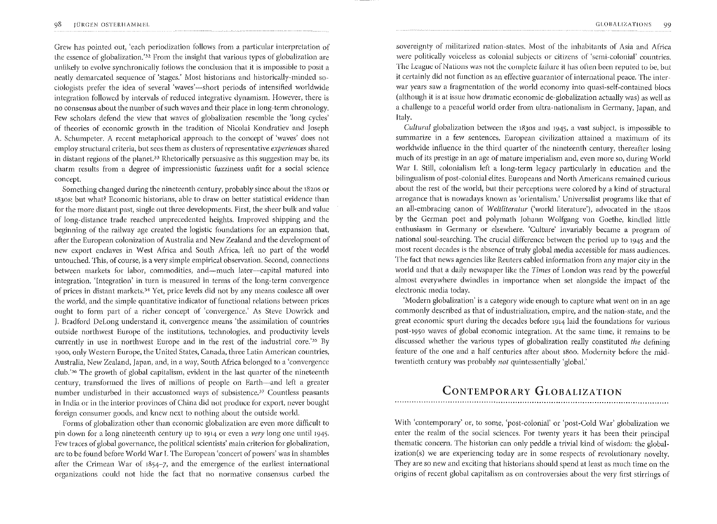Grew has pointed out, 'each periodization follows from a particular interpretation of the essence of globalization.'32 From the insight that various types of globalization arc unlikely to evolve synchronically foHows the conclusion that it is impossible to posit a neatly demarcated sequence of 'stages.' Most historians and historically-minded sociologists prefer the idea of several 'waves' -short periods of intensified worldwide integration followed by intervals of reduced integrative dynamism. However, there is no consensus about the number of such waves and their place in long-term chronology. Few scholars defend the view that waves of globalization resemble the 'long cycles' of theories of economic growth in the tradition of Nicolai Kondratiev and Joseph A. Schumpeter. A recent metaphorical approach to the concept of 'waves' does not employ structural criteria, but sees them as clusters of representative *experiences* shared in distant regions of the planet.33 Rhetorically persuasive as this suggestion may be, its charm results from a degree of impressionistic fuzziness unfit for a social science concept.

Something changed during the nineteenth century, probably since about the 1820s or 183os: but what? Economic historians, able to draw on better statistical evidence than for the more distant past, single out three developments. First, the sheer bulk and value of long-distance trade reached unprecedented heights. Improved shipping and the beginning of the railway age created the logistic foundations for an expansion that, after the European colonization of Australia and New Zealand and the development of new export enclaves in West Africa and South Africa, left no part of the world untouched. This, of course, is a very simple empirical observation. Second, connections between markets for labor, commodities, and-much later-capital matured into integration. 'Integration' in turn is measured in terms of the long-term convergence of prices in distant markets. 34 Yet, price levels did not by any means coalesce all over the world, and the simple quantitative indicator of functional relations between prices ought to form part of a richer concept of 'convergence.' As Steve Dowrick and J, Bradford DeLong understand it, convergence means 'the assimilation of countries outside northwest Europe of the institutions, technologies, and productivity levels currently in usc in northwest Europe and in the rest of the industrial core.'35 By t900, only Western Europe, the United States, Canada, three Latin American countries, Australia, New Zealand, Japan, and, in a way, South Africa belonged to a 'convergence club.'36 The growth of global capitalism, evident in the last quarter of the nineteenth century, transformed the lives of millions of people on Earth—and left a greater number undisturbed in their accustomed ways of subsistence.37 Countless peasants in India or in the interior provinces of China did not produce for export, never bought foreign consumer goods, and knew next to nothing about the outside world.

Forms of globalization other than economic globalization are even more difficult to pin down for a long nineteenth century up to 1914 or even a *very* long one until 1945. Few traces of global governance, the political scientists' main criterion for globalization, are to be found before World War I. The European 'concert of powers' was in shambles after the Crimean War of 1854-7, and the emergence of the earliest international organizations could not hide the fact that no normative consensus curbed the

sovereignty of militarized nation-states. Most of the inhabitants of Asia and Africa were politically voiceless as colonial subjects or citizens of 'semi-colonial' countries. The League of Nations was not the complete failure it has often been reputed to be, but it certainly did not function as an effective guarantor of international peace. The interwar years saw a fragmentation of the world economy into quasi-self·contained blocs (although it is at issue how dramatic economic de-globalization actually was) as well as a challenge to a peaceful world order from ultra-nationalism in Germany, Japan, and ftaly.

*Cultural* globalization between the 18305 and 1945, a vast subject, is impossible to summarize in a few sentences. European civilization attained a maximum of its worldwide influence in the third quarter of the nineteenth century, thereafter losing much of its prestige in an age of mature imperialism and, even more so, during World War I. Still, colonialism left a long-term legacy particularly in education and the bilingualism of post-colonial elites. Europeans and North Americans remained curious about the rest of the world, but their perceptions were colored by a kind of structural arrogance that is nowadays known as 'orientalism.' Universalist programs like that of an all-embracing canon of *Weltliteratur* ('world literature'), advocated in the 1820s by the German poet and polymath johann Wolfgang von Goethe, kindled little enthusiasm in Germany or elsewhere. 'Culture' invariably became a program of national soul-searching. The crucial diiTerence between the period up to 1945 and the most recent decades is the absence of truly global media accessible for mass audiences. The fact that news agencies like Reuters cabled information from any major city in the world and that a daily newspaper like the *Times* of London was read by the powerful almost everywhere dwindles in importance when set alongside the impact of the electronic media today.

'Modern globalization' is a category wide enough to capture what went on in an age commonly described as that of industrialization, empire, and the nation-state, and the great economic spurt during the decades before 1914 laid the foundations for various post-1950 waves of global economic integration. At the same time, it remains to be discussed whether the various types of globalization really constituted *the* defining feature of the one and a half centuries after about 1800. Modernity before the midtwentieth century was probably *not* quintessentially 'global.'

# CONTEMPORARY GLOBALIZATION

With 'contemporary' or, to some, 'post-colonial' or 'post-Cold War' globalization we enter the realm of the social sciences. For twenty years it has been their principal thematic concern. The historian can only peddle a trivial kind of wisdom: the globalization(s) we are experiencing today are in some respects of revolutionary novelty. They are so new and exciting that historians should spend at least as much time on the origins of recent global capitalism as on controversies about the very first stirrings of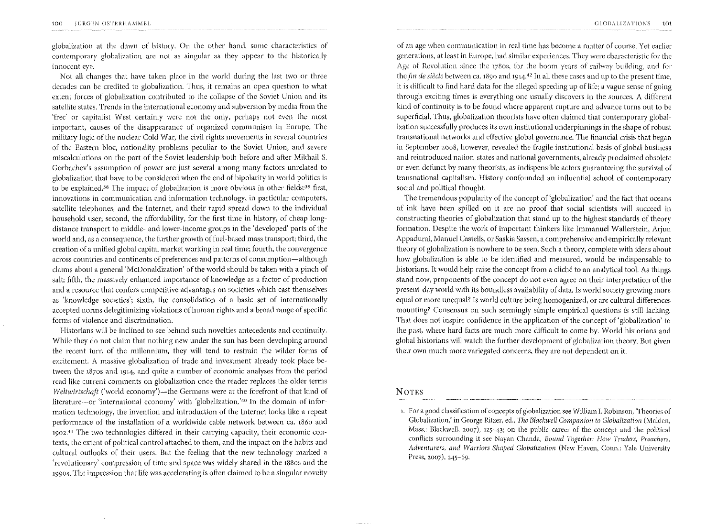globalization at the dawn of history. On the other hand, some characteristics of contemporary globalization are not as singular as they appear to the historically innocent eye.

Not all changes that have taken place in the world during the last two or three decades can be credited to globalization. Thus, it remains an open question to what extent forces of globalization contributed to the collapse of the Soviet Union and its satellite states. Trends in the international economy and subversion by media from the 'free' or capitalist West certainly were not the only, perhaps not even the most important, causes of the disappearance of organized communism in Europe. The military logic of the nuclear Cold War, the civil rights movements in several countries of the Eastern bloc, nationality problems peculiar to the Soviet Union, and severe miscalculations on the part of the Soviet leadership both before and after Mikhail S. Gorbachev's assumption of power are just several among many factors unrelated to globalization that have to be considered when the end of bipolarity in world politics is to be explained.<sup>38</sup> The impact of globalization is more obvious in other fields:<sup>39</sup> first, innovations in communication and information technology, in particular computers, satellite telephones, and the Internet, and their rapid spread down to the individual household user; second, the affordability, for the first time in history, of cheap longdistance transport to middle- and lower-income groups in the 'developed' parts of the world and, as a consequence, the further growth of fuel-based mass transport; third, the creation of a unified global capital market working in real time; fourth, the convergence across countries and continents of preferences and patterns of consumption-although claims about a general 'McDooaldization' of the world should be taken with a pinch of salt; fifth, the massively enhanced importance of knowledge as a factor of production and a resource that confers competitive advantages on societies which cast themselves as 'knowledge societies'; sixth, the consolidation of a basic set of internationally accepted norms delegitimizing violations of human rights and a broad range of specific forms of violence and discrimination.

Historians will be inclined to see behind such novelties antecedents and continuity. While they do not claim that nothing new under the sun has been developing around the recent turn of the millennium, they will tend to restrain the wilder forms of excitement. A massive globalization of trade and investment already took place between the 187os and 1914, and quite a number of economic analyses from the period read like current comments on globalization once the reader replaces the older terms *Weltwirtschaft* ('world economy')—the Germans were at the forefront of that kind of literature---or 'international economy' with 'globalization.'<sup>40</sup> In the domain of information technology, the invention and introduction of the Internet looks like a repeat performance of the installation of a worldwide cable network between ca. 186o and 1902. 41 The two technologies differed in their carrying capacity, their economic contexts, the extent of political control attached to them, and the impact on the habits and cultural outlooks of their users. But the feeling that the new technology marked a 'revolutionary' compression of time and space was widely shared in the 188os and the 1990s. The impression that life was accelerating is often claimed to be a singular novelty

of an age when communication in real time has become a matter of course. Yet earlier generations, at least in Europe, had similar experiences. They were characteristic for the Age of Revolution since the 1780s, for the boom years of railway building, and for the *fin de siècle* between ca. 1890 and 1914.<sup>42</sup> In all these cases and up to the present time, it is difficult to find hard data for the alleged speeding up of life; a vague sense of going through exciting times is everything one usually discovers in the sources. A different kind of continuity is to be found where apparent rupture and advance turns out to be superficial. Thus, globalization theorists have often claimed that contemporary globalization successfully produces its own institutional underpinnings in the shape of robust transnational networks and effective global governance. The financial crisis that began in September 2008, however, revealed the fragile institutional basis of global business and reintroduced nation-states and national governments, already proclaimed obsolete or even defunct by many theorists, as indispensible actors guaranteeing the survival of transnational capitalism. History confounded an influential school of contemporary social and political thought.

The tremendous popularity of the concept of 'globalization' and the fact that oceans of ink have been spilled on it are no proof that social scientists will succeed in constructing theories of globalization that stand up to the highest standards of theory formation. Despite the work of important thinkers like Immanuel Wallerstein, Arjun Appadurai, Manuel Castells, or Saskia Sassen, a comprehensive and empirically relevant theory of globalization is nowhere to be seen. Such a theory, complete with ideas about how globalization is able to be identified and measured, would be indispensable to historians. It would help raise the concept from a cliche to an analytical tool. As things stand now, proponents of the concept do not even agree on their interpretation of the present-day world with its boundless availability of data. Is world society growing more equal or more unequal? Is world culture being homogenized, or are cultural differences mounting? Consensus on such seemingly simple empirical questions is still lacking. That does not inspire conftdence in the application of the concept of 'globalization' to the past, where hard facts are much more difficult to come by. World historians and global historians will watch the further development of globalization theory. But given their own much more variegated concerns, they are not dependent on it.

#### **NOTES**

<sup>1.</sup> For a good classification of concepts of globalization sec William I. Robinson, 'Theories of Globalization,' in George Ritzer, ed., *The Blackwell Companion to Globalization* (Malden, Mass.: Blackwell, 2007), 125·-43; on the public career of the concept and the political conflicts surrounding it sec Nayan Chanda, *Bound Together: How Traders, Preachers, Adventurers, and Warriors Shaped Globalization* (New Haven, Conn.: Yale University Press, 2007), 245-69.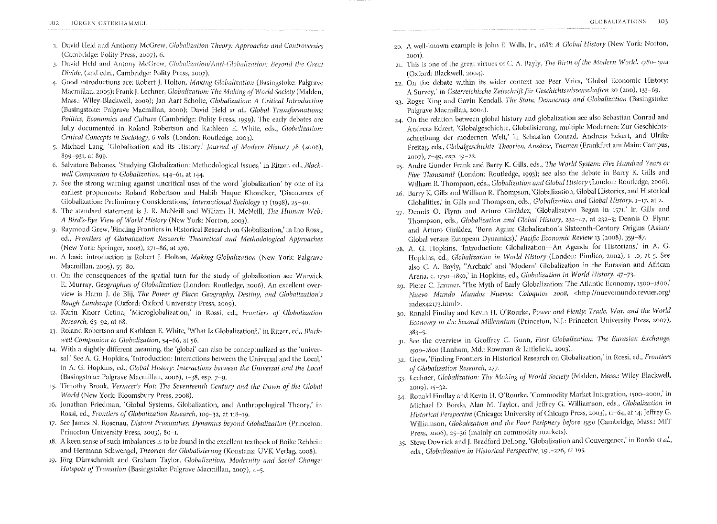- 2. David Held and Anthony McGrew, Globalization Theory: Approaches and Controversies (Cambridge: Polity Press, 2007), 6.
- 3. David Held and Antony McGrew, Globalization/Anti-Globalization: Beyond the Great Divide, (2nd edn., Cambridge: Polity Press, 2007).
- 4. Good introductions are: Robert J. Holton, Making Globalization (Basingstoke: Palgrave Macmillan, 2005); Frank J. Lechner, Globalization: The Making of World Society (Malden, Mass.: Wiley-Blackwell, 2009); Jan Aart Scholte, Globalization: A Critical Introduction (Basingstoke: Palgrave Macmillan, 2000); David Held et al., Global Transformations: Politics, Economics and Culture (Cambridge: Polity Press, 1999). The early debates are fully documented in Roland Robertson and Kathleen E. White, eds., Globalization: Critical Concepts in Sociology, 6 vols. (London: Routledge, 2003).
- 5. Michael Lang, 'Globalization and Its History,' Journal of Modern History 78 (2006), 899-931, at 899.
- 6. Salvatore Babones, 'Studying Globalization: Methodological Issues,' in Ritzer, ed., Blackwell Companion to Globalization, 144-61, at 144.
- 7. See the strong warning against uncritical uses of the word 'globalization' by one of its earliest proponents: Roland Robertson and Habib Haque Khondker, 'Discourses of Globalization: Preliminary Considerations,' International Sociology 13 (1998), 25-40.
- 8. The standard statement is J. R. McNeill and William H. McNeill, The Human Web: A Bird's-Eye View of World History (New York: Norton, 2003).
- 9. Raymond Grew, 'Finding Frontiers in Historical Research on Globalization,' in Ino Rossi, ed., Frontiers of Globalization Research: Theoretical and Methodological Approaches (New York: Springer, 2008), 271-86, at 276.
- 10. A basic introduction is Robert J. Holton, Making Globalization (New York: Palgrave Macmillan, 2005), 55-80.
- 11. On the consequences of the spatial turn for the study of globalization see Warwick E. Murray, Geographies of Globalization (London: Routledge, 2006). An excellent overview is Harm J. de Blij, The Power of Place: Geography, Destiny, and Globalization's Rough Landscape (Oxford: Oxford University Press, 2009).
- 12. Karin Knorr Cetina, 'Microglobalization,' in Rossi, ed., Frontiers of Globalization Research, 65-92, at 68.
- 13. Roland Robertson and Kathleen E. White, 'What Is Globalization?,' in Ritzer, ed., Blackwell Companion to Globalization, 54-66, at 56.
- 14. With a slightly different meaning, the 'global' can also be conceptualized as the 'universal.' See A. G. Hopkins, 'Introduction: Interactions between the Universal and the Local,' in A. G. Hopkins, ed., Global History: Interactions between the Universal and the Local (Basingstoke: Palgrave Macmillan, 2006), 1-38, esp. 7-9.
- 15. Timothy Brook, Vermeer's Hat: The Seventeenth Century and the Dawn of the Global World (New York: Bloomsbury Press, 2008).
- 16. Jonathan Friedman, 'Global Systems, Globalization, and Anthropological Theory,' in Rossi, ed., Frontiers of Globalization Research, 109-32, at 118-19.
- 17. See James N. Rosenau, Distant Proximities: Dynamics beyond Globalization (Princeton: Princeton University Press, 2003), 80-1.
- 18. A keen sense of such imbalances is to be found in the excellent textbook of Boike Rehbein and Hermann Schwengel, Theorien der Globalisierung (Konstanz: UVK Verlag, 2008).
- 19. Jörg Dürrschmidt and Graham Taylor, Globalization, Modernity and Social Change: Hotspots of Transition (Basingstoke: Palgrave Macmillan, 2007), 4-5.
- 20. A well-known example is John E. Wills, Jr., 1688: A Global History (New York: Norton, 2001).
- 21. This is one of the great virtues of C. A. Bayly, The Birth of the Modern World, 1780-1914 (Oxford: Blackwell, 2004).
- 22. On the debate within its wider context see Peer Vries, 'Global Economic History: A Survey,' in Österreichische Zeitschrift für Geschichtswissenschaften 20 (200), 133-69.
- 23. Roger King and Gavin Kendall, The State, Democracy and Globalization (Basingstoke: Palgrave Macmillan, 2004).
- 24. On the relation between global history and globalization see also Sebastian Conrad and Andreas Eckert, 'Globalgeschichte, Globalisierung, multiple Modernen: Zur Geschichtsschreibung der modernen Welt,' in Sebastian Conrad, Andreas Eckert, and Ulrike Freitag, eds., Globalgeschichte, Theorien, Ansätze, Themen (Frankfurt am Main: Campus,  $2007$ ,  $7-49$ , esp.  $19-22$ .
- 25. Andre Gunder Frank and Barry K. Gills, eds., The World System: Five Hundred Years or Five Thousand? (London: Routledge, 1993); see also the debate in Barry K. Gills and William R. Thompson, eds., Globalization and Global History (London: Routledge, 2006).
- 26. Barry K. Gills and William R. Thompson, 'Globalization, Global Histories, and Historical Globalities,' in Gills and Thompson, eds., Globalization and Global History, 1-17, at 2.
- 27. Dennis O. Flynn and Arturo Giráldez, 'Globalization Began in 1571,' in Gills and Thompson, eds., Globalization and Global History, 232-47, at 232-5; Dennis O. Flynn and Arturo Giráldez, 'Born Again: Globalization's Sixteenth-Century Origins (Asian/ Global versus European Dynamics),' Pacific Economic Review 13 (2008), 359-87.
- 28. A. G. Hopkins, 'Introduction: Globalization-An Agenda for Historians,' in A. G. Hopkins, ed., Globalization in World History (London: Pimlico, 2002), 1-10, at 5. See also C. A. Bayly, "Archaic' and 'Modern' Globalization in the Eurasian and African Arena, c. 1750-1850,' in Hopkins, ed., Globalization in World History, 47-73.
- 29. Pieter C. Emmer, 'The Myth of Early Globalization: The Atlantic Economy, 1500-1800,' Nuevo Mundo Mundos Nuevos: Coloquios 2008, <http://nuevomundo.revues.org/ index42173.html>.
- 30. Ronald Findlay and Kevin H. O'Rourke, Power and Plenty: Trade, War, and the World Economy in the Second Millennium (Princeton, N.J.: Princeton University Press, 2007),  $383 - 5.$
- 31. See the overview in Geoffrey C. Gunn, First Globalization: The Eurasian Exchange, 1500-1800 (Lanham, Md.: Rowman & Littlefield, 2003).
- 32. Grew, 'Finding Frontiers in Historical Research on Globalization,' in Rossi, ed., Frontiers of Globalization Research, 277.
- 33. Lechner, Globalization: The Making of World Society (Malden, Mass.: Wiley-Blackwell,  $2009$ ,  $15-32$ .
- 34. Ronald Findlay and Kevin H. O'Rourke, 'Commodity Market Integration, 1500-2000,' in Michael D. Bordo, Alan M. Taylor, and Jeffrey G. Williamson, eds., Globalization in Historical Perspective (Chicago: University of Chicago Press, 2003), 11-64, at 14; Jeffrey G. Williamson, Globalization and the Poor Periphery before 1950 (Cambridge, Mass.: MIT Press, 2006), 25-36 (mainly on commodity markets).
- 35. Steve Dowrick and J. Bradford DeLong, 'Globalization and Convergence,' in Bordo et al., eds., Globalization in Historical Perspective, 191-226, at 195.